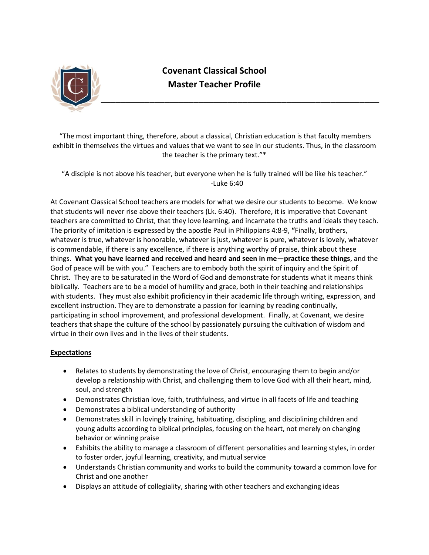

## **Covenant Classical School Master Teacher Profile**

"The most important thing, therefore, about a classical, Christian education is that faculty members exhibit in themselves the virtues and values that we want to see in our students. Thus, in the classroom the teacher is the primary text."\*

"A disciple is not above his teacher, but everyone when he is fully trained will be like his teacher." -Luke 6:40

At Covenant Classical School teachers are models for what we desire our students to become. We know that students will never rise above their teachers (Lk. 6:40). Therefore, it is imperative that Covenant teachers are committed to Christ, that they love learning, and incarnate the truths and ideals they teach. The priority of imitation is expressed by the apostle Paul in Philippians 4:8-9, **"**Finally, brothers, whatever is true, whatever is honorable, whatever is just, whatever is pure, whatever is lovely, whatever is commendable, if there is any excellence, if there is anything worthy of praise, think about these things. **What you have learned and received and heard and seen in me**—**practice these things**, and the God of peace will be with you." Teachers are to embody both the spirit of inquiry and the Spirit of Christ. They are to be saturated in the Word of God and demonstrate for students what it means think biblically. Teachers are to be a model of humility and grace, both in their teaching and relationships with students. They must also exhibit proficiency in their academic life through writing, expression, and excellent instruction. They are to demonstrate a passion for learning by reading continually, participating in school improvement, and professional development. Finally, at Covenant, we desire teachers that shape the culture of the school by passionately pursuing the cultivation of wisdom and virtue in their own lives and in the lives of their students.

## **Expectations**

- Relates to students by demonstrating the love of Christ, encouraging them to begin and/or develop a relationship with Christ, and challenging them to love God with all their heart, mind, soul, and strength
- Demonstrates Christian love, faith, truthfulness, and virtue in all facets of life and teaching
- Demonstrates a biblical understanding of authority
- Demonstrates skill in lovingly training, habituating, discipling, and disciplining children and young adults according to biblical principles, focusing on the heart, not merely on changing behavior or winning praise
- Exhibits the ability to manage a classroom of different personalities and learning styles, in order to foster order, joyful learning, creativity, and mutual service
- Understands Christian community and works to build the community toward a common love for Christ and one another
- Displays an attitude of collegiality, sharing with other teachers and exchanging ideas